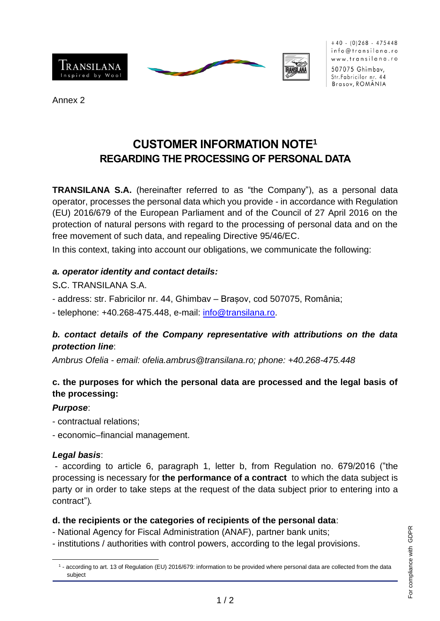





 $+40$  - (0)268 - 475448 info@transilana.ro www.transilana.ro

507075 Ghimbav, Str. Fabricilor nr. 44 Brasov, ROMÂNIA

Annex 2

# **CUSTOMER INFORMATION NOTE<sup>1</sup> REGARDING THE PROCESSING OF PERSONAL DATA**

**TRANSILANA S.A.** (hereinafter referred to as "the Company"), as a personal data operator, processes the personal data which you provide - in accordance with Regulation (EU) 2016/679 of the European Parliament and of the Council of 27 April 2016 on the protection of natural persons with regard to the processing of personal data and on the free movement of such data, and repealing Directive 95/46/EC.

In this context, taking into account our obligations, we communicate the following:

#### *a. operator identity and contact details:*

S**.**C. TRANSILANA S.A.

- address: str. Fabricilor nr. 44, Ghimbav – Brașov, cod 507075, România;

- telephone: +40.268-475.448, e-mail: [info@transilana.ro.](mailto:info@transilana.ro)

#### *b. contact details of the Company representative with attributions on the data protection line*:

*Ambrus Ofelia - email: ofelia.ambrus@transilana.ro; phone: +40.268-475.448*

### **c. the purposes for which the personal data are processed and the legal basis of the processing:**

#### *Purpose*:

- contractual relations;
- economic–financial management.

## *Legal basis*:

- according to article 6, paragraph 1, letter b, from Regulation no. 679/2016 ("the processing is necessary for **the performance of a contract** to which the data subject is party or in order to take steps at the request of the data subject prior to entering into a contract")*.*

## **d. the recipients or the categories of recipients of the personal data**:

- National Agency for Fiscal Administration (ANAF), partner bank units;

- institutions / authorities with control powers, according to the legal provisions.

<sup>1</sup> - according to art. 13 of Regulation (EU) 2016/679: information to be provided where personal data are collected from the data subject